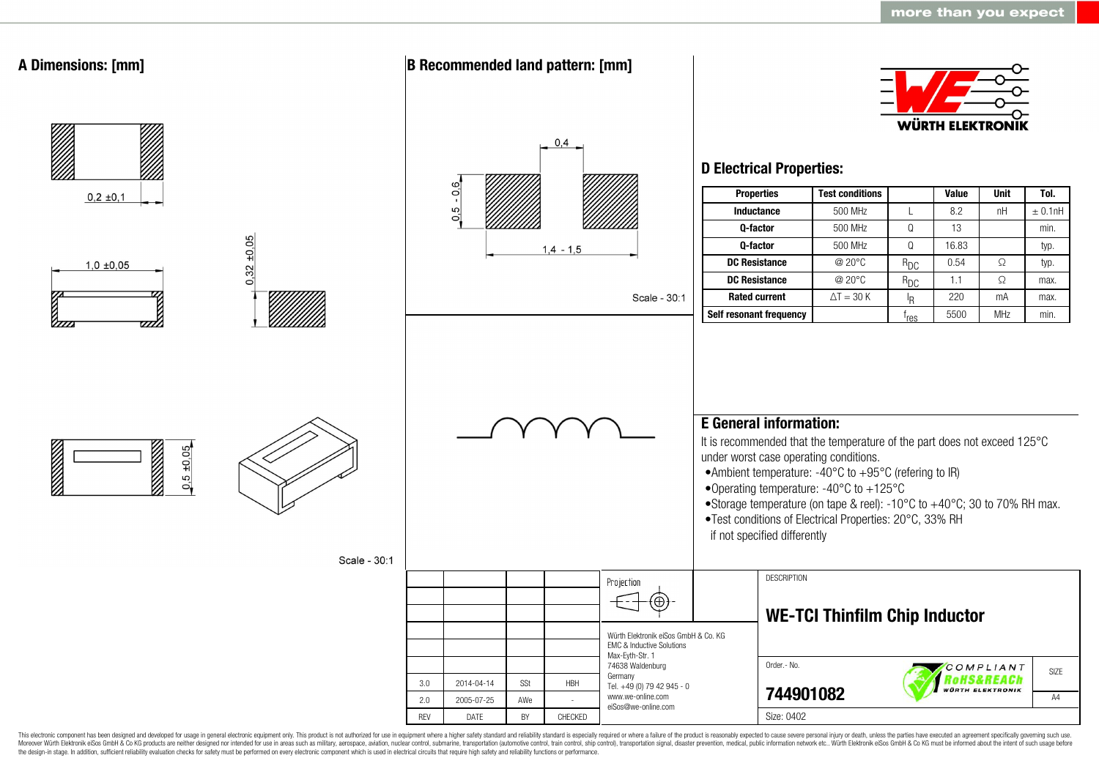

This electronic component has been designed and developed for usage in general electronic equipment only. This product is not authorized for use in equipment where a higher safety standard and reliability standard is espec Moreover Würth Elektronik eiSos GmbH & Co KG products are neither designed nor intended for use in areas such as military, aerospace, aviation, nuclear control, submarine, transportation (automotive control, ship control), the design-in stage. In addition, sufficient reliability evaluation checks for safety must be performed on every electronic component which is used in electrical circuits that require high safety and reliability functions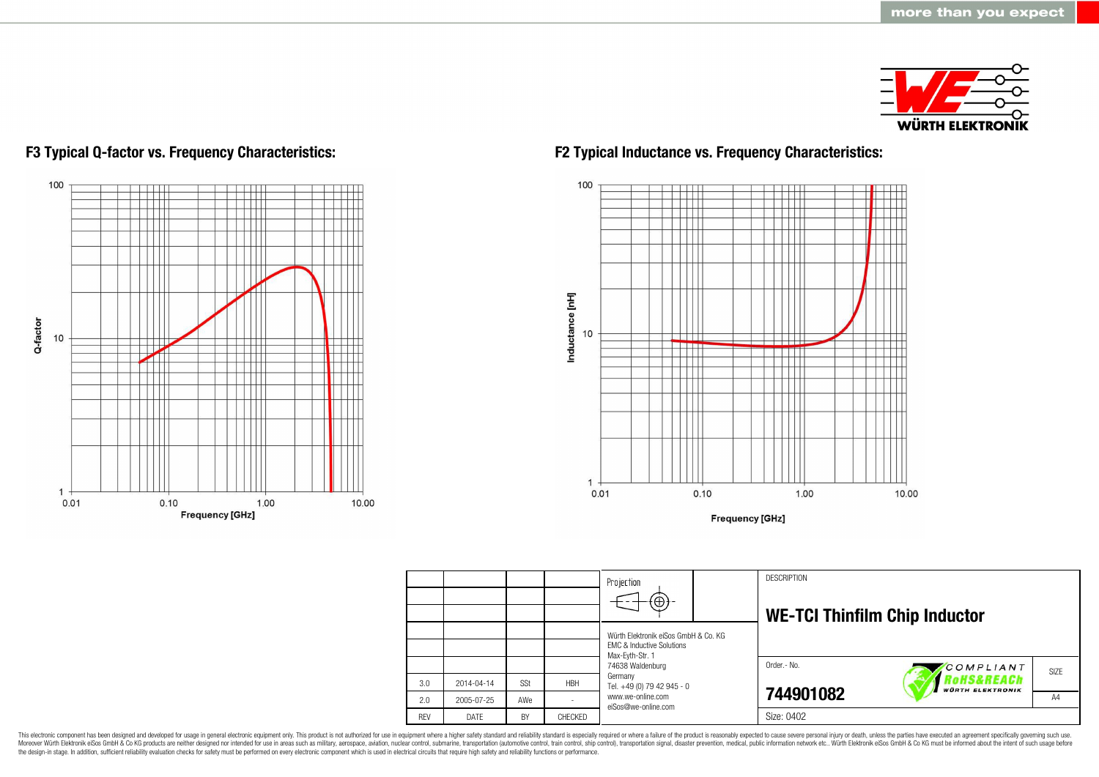

# 100 Ш T Q-factor 10 ╥ Π  $\mathbf{1}$  $0.01$  $0.10$ 1.00 10.00 **Frequency [GHz]**

### **F3 Typical Q-factor vs. Frequency Characteristics: F2 Typical Inductance vs. Frequency Characteristics:**



**Frequency [GHz]** 

|            |            |           |            | Projection                                              | <b>DESCRIPTION</b>                   |                                                 |      |
|------------|------------|-----------|------------|---------------------------------------------------------|--------------------------------------|-------------------------------------------------|------|
|            |            |           |            | $\bigoplus$                                             |                                      |                                                 |      |
|            |            |           |            |                                                         | <b>WE-TCI Thinfilm Chip Inductor</b> |                                                 |      |
|            |            |           |            | Würth Elektronik eiSos GmbH & Co. KG                    |                                      |                                                 |      |
|            |            |           |            | <b>EMC &amp; Inductive Solutions</b><br>Max-Eyth-Str. 1 |                                      |                                                 |      |
|            |            |           |            | 74638 Waldenburg                                        | Order.- No.                          | COMPLIANT                                       | SIZE |
| 3.0        | 2014-04-14 | SSt       | <b>HBH</b> | Germany<br>Tel. +49 (0) 79 42 945 - 0                   |                                      | <b>OHS&amp;REACh</b><br><b>WÜRTH ELEKTRONIK</b> |      |
| 2.0        | 2005-07-25 | AWe       |            | www.we-online.com<br>eiSos@we-online.com                | 744901082                            |                                                 | A4   |
| <b>RFV</b> | DATF       | <b>BY</b> | CHECKED    |                                                         | Size: 0402                           |                                                 |      |

This electronic component has been designed and developed for usage in general electronic equipment only. This product is not authorized for use in equipment where a higher safety standard and reliability standard is espec Moreover Würth Elektronik eiSos GmbH & Co KG products are neither designed nor intended for use in areas such as military, aerospace, aviation, nuclear control, submarine, transportation (automotive control), stain control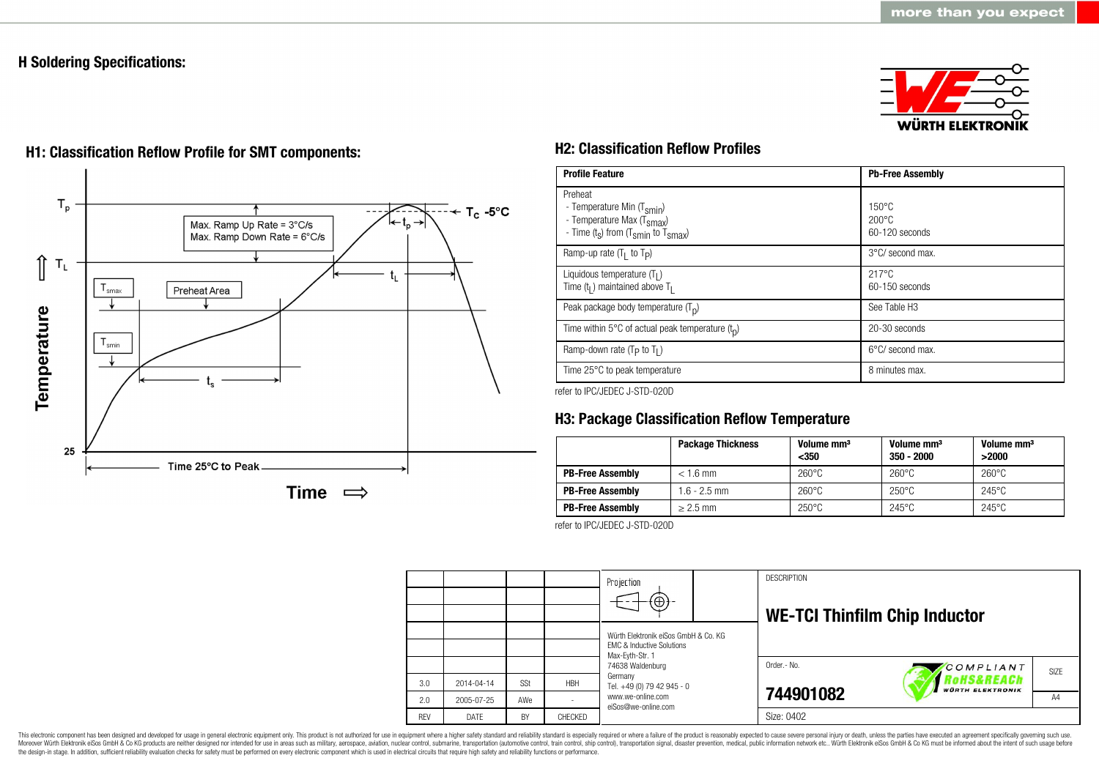### **H Soldering Specifications:**





## **H1: Classification Reflow Profile for SMT components: H2: Classification Reflow Profiles**

| <b>Profile Feature</b>                                                                                                                        | <b>Pb-Free Assembly</b>                                |  |  |
|-----------------------------------------------------------------------------------------------------------------------------------------------|--------------------------------------------------------|--|--|
| Preheat<br>- Temperature Min (T <sub>smin</sub> )<br>- Temperature Max (T <sub>Smax</sub> )<br>- Time $(t_s)$ from $(T_{smin}$ to $T_{smax})$ | $150^{\circ}$ C<br>$200^{\circ}$ C<br>$60-120$ seconds |  |  |
| Ramp-up rate $(T_1$ to $T_p$ )                                                                                                                | $3^{\circ}$ C/ second max.                             |  |  |
| Liquidous temperature $(T1)$<br>Time $(tl)$ maintained above T <sub>1</sub>                                                                   | $217^{\circ}$ C<br>$60-150$ seconds                    |  |  |
| Peak package body temperature $(T_n)$                                                                                                         | See Table H <sub>3</sub>                               |  |  |
| Time within 5 $\degree$ C of actual peak temperature $(t_0)$                                                                                  | 20-30 seconds                                          |  |  |
| Ramp-down rate ( $T_P$ to $T_I$ )                                                                                                             | $6^{\circ}$ C/ second max.                             |  |  |
| Time 25°C to peak temperature                                                                                                                 | 8 minutes max.                                         |  |  |

refer to IPC/JEDEC J-STD-020D

### **H3: Package Classification Reflow Temperature**

|                         | <b>Package Thickness</b> | Volume mm <sup>3</sup><br>$350$ | Volume mm <sup>3</sup><br>$350 - 2000$ | Volume mm <sup>3</sup><br>>2000 |
|-------------------------|--------------------------|---------------------------------|----------------------------------------|---------------------------------|
| <b>PB-Free Assembly</b> | $< 1.6$ mm               | $260^{\circ}$ C                 | $260^{\circ}$ C                        | $260^{\circ}$ C                 |
| <b>PB-Free Assembly</b> | $1.6 - 2.5$ mm           | $260^{\circ}$ C                 | $250^{\circ}$ C                        | $245^{\circ}$ C                 |
| <b>PB-Free Assembly</b> | $\geq$ 2.5 mm            | $250^{\circ}$ C                 | $245^{\circ}$ C                        | $245^{\circ}$ C                 |

refer to IPC/JEDEC J-STD-020D



This electronic component has been designed and developed for usage in general electronic equipment only. This product is not authorized for use in equipment where a higher safety standard and reliability standard is espec Moreover Würth Elektronik eiSos GmbH & Co KG products are neither designed nor intended for use in areas such as military, aerospace, aviation, nuclear control, submarine, transportation (automotive control, ship control), the design-in stage. In addition, sufficient reliability evaluation checks for safety must be performed on every electronic component which is used in electrical circuits that require high safety and reliability functions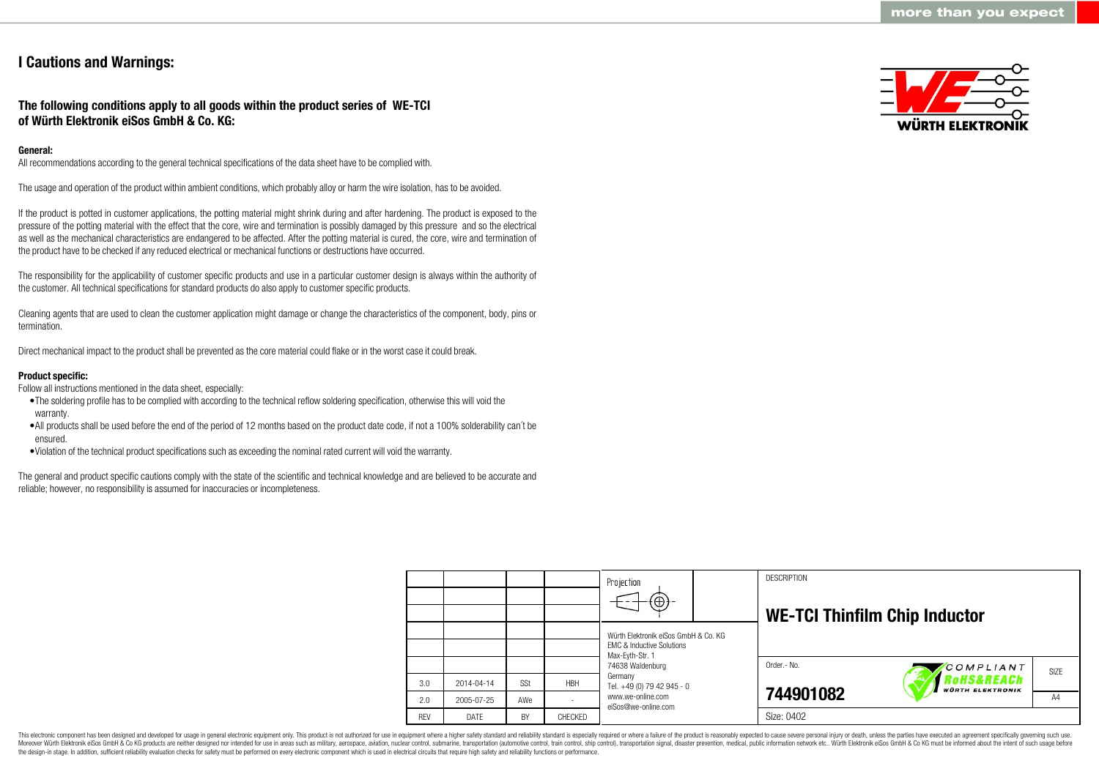### **I Cautions and Warnings:**

### **The following conditions apply to all goods within the product series of WE-TCI of Würth Elektronik eiSos GmbH & Co. KG:**

### **General:**

All recommendations according to the general technical specifications of the data sheet have to be complied with.

The usage and operation of the product within ambient conditions, which probably alloy or harm the wire isolation, has to be avoided.

If the product is potted in customer applications, the potting material might shrink during and after hardening. The product is exposed to the pressure of the potting material with the effect that the core, wire and termination is possibly damaged by this pressure and so the electrical as well as the mechanical characteristics are endangered to be affected. After the potting material is cured, the core, wire and termination of the product have to be checked if any reduced electrical or mechanical functions or destructions have occurred.

The responsibility for the applicability of customer specific products and use in a particular customer design is always within the authority of the customer. All technical specifications for standard products do also apply to customer specific products.

Cleaning agents that are used to clean the customer application might damage or change the characteristics of the component, body, pins or termination.

Direct mechanical impact to the product shall be prevented as the core material could flake or in the worst case it could break.

### **Product specific:**

Follow all instructions mentioned in the data sheet, especially:

- •The soldering profile has to be complied with according to the technical reflow soldering specification, otherwise this will void the warranty.
- •All products shall be used before the end of the period of 12 months based on the product date code, if not a 100% solderability can´t be ensured.
- •Violation of the technical product specifications such as exceeding the nominal rated current will void the warranty.

The general and product specific cautions comply with the state of the scientific and technical knowledge and are believed to be accurate and reliable; however, no responsibility is assumed for inaccuracies or incompleteness.



|            |            |     |            | Projection<br>$\Theta$                                                                          |  | <b>DESCRIPTION</b><br><b>WE-TCI Thinfilm Chip Inductor</b> |                                       |      |
|------------|------------|-----|------------|-------------------------------------------------------------------------------------------------|--|------------------------------------------------------------|---------------------------------------|------|
|            |            |     |            | Würth Elektronik eiSos GmbH & Co. KG<br><b>FMC &amp; Inductive Solutions</b><br>Max-Eyth-Str. 1 |  |                                                            |                                       |      |
|            |            |     |            | 74638 Waldenburg                                                                                |  | Order.- No.                                                | COMPLIANT                             | SIZE |
| 3.0        | 2014-04-14 | SSt | <b>HBH</b> | Germany<br>Tel. +49 (0) 79 42 945 - 0                                                           |  |                                                            | RoHS&REACh<br><b>WÜRTH ELEKTRONIK</b> |      |
| 2.0        | 2005-07-25 | AWe |            | www.we-online.com<br>eiSos@we-online.com                                                        |  | 744901082                                                  |                                       | A4   |
| <b>REV</b> | DATE       | BY  | CHECKED    |                                                                                                 |  | Size: 0402                                                 |                                       |      |

This electronic component has been designed and developed for usage in general electronic equipment only. This product is not authorized for use in equipment where a higher safety standard and reliability standard is espec Moreover Würth Elektronik eiSos GmbH & Co KG products are neither designed nor intended for use in areas such as military, aerospace, aviation, nuclear control, submarine, transportation (automotive control), tain control) the design-in stage. In addition, sufficient reliability evaluation checks for safety must be performed on every electronic component which is used in electrical circuits that require high safety and reliability functions